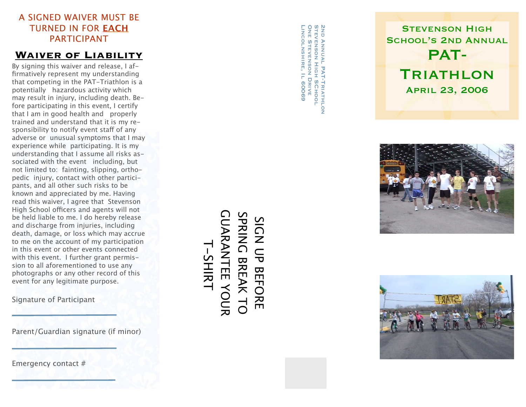### A SIGNED WAIVER MUST BE TURNED IN FOR EACH PARTICIPANT

#### **Waiver of Liability**

By signing this waiver and release, I affirmatively represent my understanding that competing in the PAT-Triathlon is a potentially hazardous activity which may result in injury, including death. Be fore participating in this event, I certify that I am in good health and properly trained and understand that it is my re sponsibility to notify event sta ff of any adverse or unusual symptoms that I may experience while participating. It is my understanding that I assume all risks as sociated with the event including, but not limited to: fainting, slipping, ortho pedic injury, contact with other partici pants, and all other such risks to be known and appreciated by me. Having read this waiver, I agree that Stevenson High School o fficers and agents will not be held liable to me. I do hereby release and discharge from injuries, including death, damage, or loss which may accrue to me on the account of my participation in this event or other events connected with this event. I further grant permis sion to all aforementioned to use any photographs or any other record of this event for any legitimate purpose.

Signature of Participant

Parent/Guardian signature (if minor)

Emergency contact #

Lincolnshire, Il 60069 ONE STEVENSON DRIVE Stevenson High SChool2nd Annual PAT-Triathlon  $\overline{a}$ NE SHEVENSON DRIVE TEVENSON HIGH SCHOOL PAT-TRIATHLON **IL 60069** 







# GUARANTEE YOUR SPRING BREAK TO *LUARANTEE YOUR* SPRING BREAK TO SIGN UP BEFORE SIGN UP BEFORE T-SHIRT **T-SHIRT**